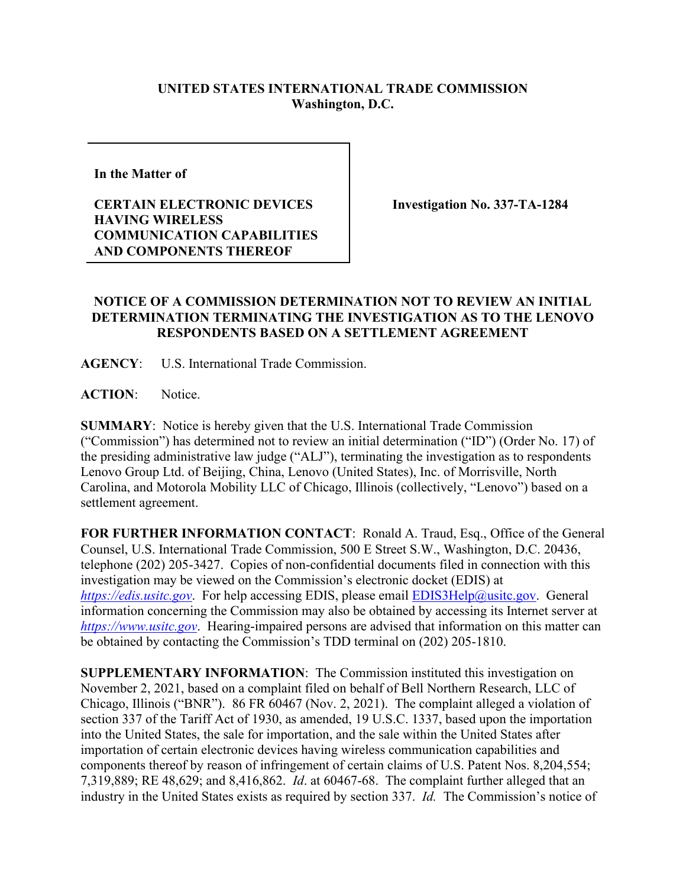## **UNITED STATES INTERNATIONAL TRADE COMMISSION Washington, D.C.**

**In the Matter of** 

## **CERTAIN ELECTRONIC DEVICES HAVING WIRELESS COMMUNICATION CAPABILITIES AND COMPONENTS THEREOF**

**Investigation No. 337-TA-1284**

## **NOTICE OF A COMMISSION DETERMINATION NOT TO REVIEW AN INITIAL DETERMINATION TERMINATING THE INVESTIGATION AS TO THE LENOVO RESPONDENTS BASED ON A SETTLEMENT AGREEMENT**

**AGENCY**: U.S. International Trade Commission.

**ACTION**: Notice.

**SUMMARY**: Notice is hereby given that the U.S. International Trade Commission ("Commission") has determined not to review an initial determination ("ID") (Order No. 17) of the presiding administrative law judge ("ALJ"), terminating the investigation as to respondents Lenovo Group Ltd. of Beijing, China, Lenovo (United States), Inc. of Morrisville, North Carolina, and Motorola Mobility LLC of Chicago, Illinois (collectively, "Lenovo") based on a settlement agreement.

**FOR FURTHER INFORMATION CONTACT**: Ronald A. Traud, Esq., Office of the General Counsel, U.S. International Trade Commission, 500 E Street S.W., Washington, D.C. 20436, telephone (202) 205-3427. Copies of non-confidential documents filed in connection with this investigation may be viewed on the Commission's electronic docket (EDIS) at *[https://edis.usitc.gov](https://edis.usitc.gov/)*. For help accessing EDIS, please email [EDIS3Help@usitc.gov.](mailto:EDIS3Help@usitc.gov) General information concerning the Commission may also be obtained by accessing its Internet server at *[https://www.usitc.gov](https://www.usitc.gov/)*. Hearing-impaired persons are advised that information on this matter can be obtained by contacting the Commission's TDD terminal on (202) 205-1810.

**SUPPLEMENTARY INFORMATION**: The Commission instituted this investigation on November 2, 2021, based on a complaint filed on behalf of Bell Northern Research, LLC of Chicago, Illinois ("BNR"). 86 FR 60467 (Nov. 2, 2021). The complaint alleged a violation of section 337 of the Tariff Act of 1930, as amended, 19 U.S.C. 1337, based upon the importation into the United States, the sale for importation, and the sale within the United States after importation of certain electronic devices having wireless communication capabilities and components thereof by reason of infringement of certain claims of U.S. Patent Nos. 8,204,554; 7,319,889; RE 48,629; and 8,416,862. *Id*. at 60467-68. The complaint further alleged that an industry in the United States exists as required by section 337. *Id.* The Commission's notice of